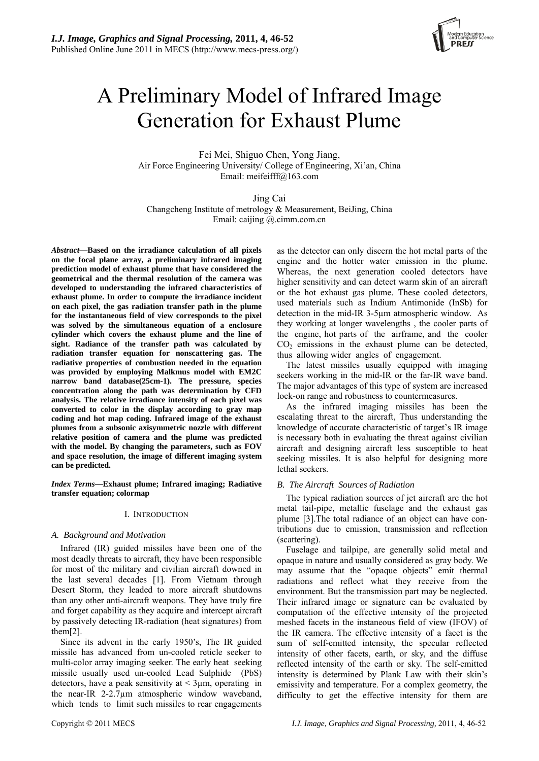

# A Preliminary Model of Infrared Image Generation for Exhaust Plume

Fei Mei, Shiguo Chen, Yong Jiang, Air Force Engineering University/ College of Engineering, Xi'an, China Email: meifeifff@163.com

Jing Cai Changcheng Institute of metrology & Measurement, BeiJing, China Email: caijing @.cimm.com.cn

*Abstract***—Based on the irradiance calculation of all pixels on the focal plane array, a preliminary infrared imaging prediction model of exhaust plume that have considered the geometrical and the thermal resolution of the camera was developed to understanding the infrared characteristics of exhaust plume. In order to compute the irradiance incident on each pixel, the gas radiation transfer path in the plume for the instantaneous field of view corresponds to the pixel was solved by the simultaneous equation of a enclosure cylinder which covers the exhaust plume and the line of sight. Radiance of the transfer path was calculated by radiation transfer equation for nonscattering gas. The radiative properties of combustion needed in the equation was provided by employing Malkmus model with EM2C narrow band database(25cm-1). The pressure, species concentration along the path was determination by CFD analysis. The relative irradiance intensity of each pixel was converted to color in the display according to gray map coding and hot map coding. Infrared image of the exhaust plumes from a subsonic axisymmetric nozzle with different relative position of camera and the plume was predicted with the model. By changing the parameters, such as FOV and space resolution, the image of different imaging system can be predicted.** 

*Index Terms***—Exhaust plume; Infrared imaging; Radiative transfer equation; colormap** 

# I. INTRODUCTION

# *A. Background and Motivation*

Infrared (IR) guided missiles have been one of the most deadly threats to aircraft, they have been responsible for most of the military and civilian aircraft downed in the last several decades [1]. From Vietnam through Desert Storm, they leaded to more aircraft shutdowns than any other anti-aircraft weapons. They have truly fire and forget capability as they acquire and intercept aircraft by passively detecting IR-radiation (heat signatures) from them[2].

Since its advent in the early 1950's, The IR guided missile has advanced from un-cooled reticle seeker to multi-color array imaging seeker. The early heat seeking missile usually used un-cooled Lead Sulphide (PbS) detectors, have a peak sensitivity at  $\leq$  3 $\mu$ m, operating in the near-IR 2-2.7µm atmospheric window waveband, which tends to limit such missiles to rear engagements

as the detector can only discern the hot metal parts of the engine and the hotter water emission in the plume. Whereas, the next generation cooled detectors have higher sensitivity and can detect warm skin of an aircraft or the hot exhaust gas plume. These cooled detectors, used materials such as Indium Antimonide (InSb) for detection in the mid-IR 3-5µm atmospheric window. As they working at longer wavelengths , the cooler parts of the engine, hot parts of the airframe, and the cooler  $CO<sub>2</sub>$  emissions in the exhaust plume can be detected, thus allowing wider angles of engagement.

The latest missiles usually equipped with imaging seekers working in the mid-IR or the far-IR wave band. The major advantages of this type of system are increased lock-on range and robustness to countermeasures.

As the infrared imaging missiles has been the escalating threat to the aircraft, Thus understanding the knowledge of accurate characteristic of target's IR image is necessary both in evaluating the threat against civilian aircraft and designing aircraft less susceptible to heat seeking missiles. It is also helpful for designing more lethal seekers.

# *B. The Aircraft Sources of Radiation*

The typical radiation sources of jet aircraft are the hot metal tail-pipe, metallic fuselage and the exhaust gas plume [3].The total radiance of an object can have contributions due to emission, transmission and reflection (scattering).

Fuselage and tailpipe, are generally solid metal and opaque in nature and usually considered as gray body. We may assume that the "opaque objects" emit thermal radiations and reflect what they receive from the environment. But the transmission part may be neglected. Their infrared image or signature can be evaluated by computation of the effective intensity of the projected meshed facets in the instaneous field of view (IFOV) of the IR camera. The effective intensity of a facet is the sum of self-emitted intensity, the specular reflected intensity of other facets, earth, or sky, and the diffuse reflected intensity of the earth or sky. The self-emitted intensity is determined by Plank Law with their skin's emissivity and temperature. For a complex geometry, the difficulty to get the effective intensity for them are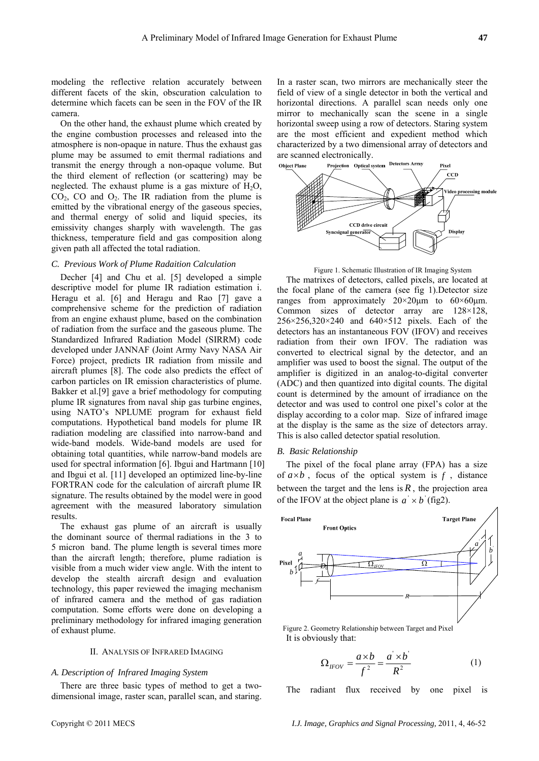modeling the reflective relation accurately between different facets of the skin, obscuration calculation to determine which facets can be seen in the FOV of the IR camera.

On the other hand, the exhaust plume which created by the engine combustion processes and released into the atmosphere is non-opaque in nature. Thus the exhaust gas plume may be assumed to emit thermal radiations and transmit the energy through a non-opaque volume. But the third element of reflection (or scattering) may be neglected. The exhaust plume is a gas mixture of  $H_2O$ ,  $CO<sub>2</sub>$ , CO and  $O<sub>2</sub>$ . The IR radiation from the plume is emitted by the vibrational energy of the gaseous species, and thermal energy of solid and liquid species, its emissivity changes sharply with wavelength. The gas thickness, temperature field and gas composition along given path all affected the total radiation.

### *C. Previous Work of Plume Radaition Calculation*

Decher [4] and Chu et al. [5] developed a simple descriptive model for plume IR radiation estimation i. Heragu et al. [6] and Heragu and Rao [7] gave a comprehensive scheme for the prediction of radiation from an engine exhaust plume, based on the combination of radiation from the surface and the gaseous plume. The Standardized Infrared Radiation Model (SIRRM) code developed under JANNAF (Joint Army Navy NASA Air Force) project, predicts IR radiation from missile and aircraft plumes [8]. The code also predicts the effect of carbon particles on IR emission characteristics of plume. Bakker et al.[9] gave a brief methodology for computing plume IR signatures from naval ship gas turbine engines, using NATO's NPLUME program for exhaust field computations. Hypothetical band models for plume IR radiation modeling are classified into narrow-band and wide-band models. Wide-band models are used for obtaining total quantities, while narrow-band models are used for spectral information [6]. Ibgui and Hartmann [10] and Ibgui et al. [11] developed an optimized line-by-line FORTRAN code for the calculation of aircraft plume IR signature. The results obtained by the model were in good agreement with the measured laboratory simulation results.

The exhaust gas plume of an aircraft is usually the dominant source of thermal radiations in the 3 to 5 micron band. The plume length is several times more than the aircraft length; therefore, plume radiation is visible from a much wider view angle. With the intent to develop the stealth aircraft design and evaluation technology, this paper reviewed the imaging mechanism of infrared camera and the method of gas radiation computation. Some efforts were done on developing a preliminary methodology for infrared imaging generation of exhaust plume.

#### II. ANALYSIS OF INFRARED IMAGING

# *A. Description of Infrared Imaging System*

There are three basic types of method to get a twodimensional image, raster scan, parallel scan, and staring.

In a raster scan, two mirrors are mechanically steer the field of view of a single detector in both the vertical and horizontal directions. A parallel scan needs only one mirror to mechanically scan the scene in a single horizontal sweep using a row of detectors. Staring system are the most efficient and expedient method which characterized by a two dimensional array of detectors and are scanned electronically.<br>
Object Plane Projection Optical system Detectors Array



Figure 1. Schematic Illustration of IR Imaging System

The matrixes of detectors, called pixels, are located at the focal plane of the camera (see fig 1).Detector size ranges from approximately  $20 \times 20 \mu m$  to  $60 \times 60 \mu m$ . Common sizes of detector array are 128×128,  $256 \times 256,320 \times 240$  and  $640 \times 512$  pixels. Each of the detectors has an instantaneous FOV (IFOV) and receives radiation from their own IFOV. The radiation was converted to electrical signal by the detector, and an amplifier was used to boost the signal. The output of the amplifier is digitized in an analog-to-digital converter (ADC) and then quantized into digital counts. The digital count is determined by the amount of irradiance on the detector and was used to control one pixel's color at the display according to a color map. Size of infrared image at the display is the same as the size of detectors array. This is also called detector spatial resolution.

# *B. Basic Relationship*

The pixel of the focal plane array (FPA) has a size of  $a \times b$ , focus of the optical system is  $f$ , distance between the target and the lens is  $R$ , the projection area of the IFOV at the object plane is  $a' \times b'$  (fig2).



It is obviously that:

$$
\Omega_{\text{IFOV}} = \frac{a \times b}{f^2} = \frac{a \times b'}{R^2} \tag{1}
$$

The radiant flux received by one pixel is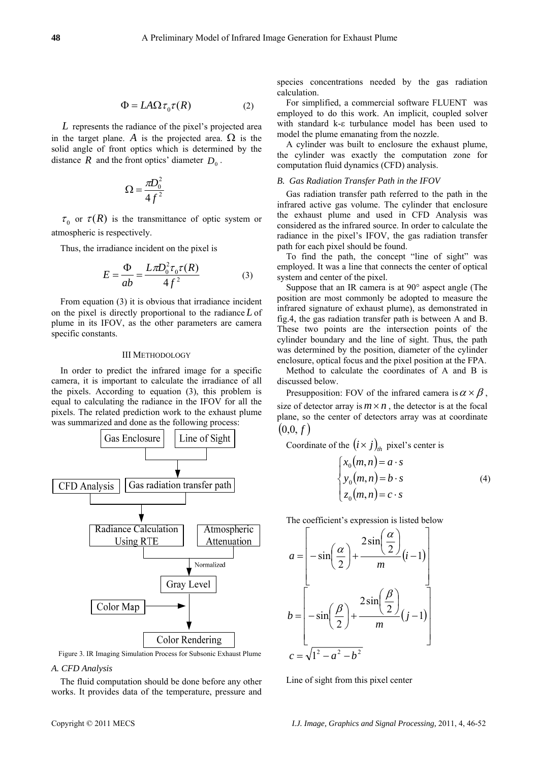$$
\Phi = L A \Omega \tau_0 \tau(R) \tag{2}
$$

*L* represents the radiance of the pixel's projected area in the target plane. *A* is the projected area.  $\Omega$  is the solid angle of front optics which is determined by the distance *R* and the front optics' diameter  $D_0$ .

$$
\Omega = \frac{\pi D_0^2}{4f^2}
$$

 $\tau_0$  or  $\tau(R)$  is the transmittance of optic system or atmospheric is respectively.

Thus, the irradiance incident on the pixel is

$$
E = \frac{\Phi}{ab} = \frac{L\pi D_0^2 \tau_0 \tau(R)}{4f^2}
$$
 (3)

From equation (3) it is obvious that irradiance incident on the pixel is directly proportional to the radiance *L* of plume in its IFOV, as the other parameters are camera specific constants.

#### III METHODOLOGY

In order to predict the infrared image for a specific camera, it is important to calculate the irradiance of all the pixels. According to equation (3), this problem is equal to calculating the radiance in the IFOV for all the pixels. The related prediction work to the exhaust plume was summarized and done as the following process:



Figure 3. IR Imaging Simulation Process for Subsonic Exhaust Plume

# *A . CFD Analysis*

The fluid computation should be done before any other w orks. It provides data of the temperature, pressure and species concentrations needed by the gas radiation calculation.

For simplified, a commercial software FLUENT was employed to do this work. An implicit, coupled solver with standard k-ε turbulance model has been used to model the plume emanating from the nozzle.

A cylinder was built to enclosure the exhaust plume, the cylinder was exactly the computation zone for computation fluid dynamics (CFD) analysis.

#### *B. Gas Radiation Transfer Path in the IFOV*

Gas radiation transfer path referred to the path in the infrared active gas volume. The cylinder that enclosure the exhaust plume and used in CFD Analysis was considered as the infrared source. In order to calculate the radiance in the pixel's IFOV, the gas radiation transfer path for each pixel should be found.

To find the path, the concept "line of sight" was employed. It was a line that connects the center of optical system and center of the pixel.

Suppose that an IR camera is at 90° aspect angle (The position are most commonly be adopted to measure the infrared signature of exhaust plume), as demonstrated in fig.4, the gas radiation transfer path is between A and B. These two points are the intersection points of the cylinder boundary and the line of sight. Thus, the path was determined by the position, diameter of the cylinder enclosure, optical focus and the pixel position at the FPA.

Method to calculate the coordinates of A and B is discussed below.

Presupposition: FOV of the infrared camera is  $\alpha \times \beta$ , size of detector array is  $m \times n$ , the detector is at the focal plane, so the center of detectors array was at coordinate  $(0,0,f)$ 

Coordinate of the  $(i \times j)_{th}$  pixel's center is

$$
\begin{cases}\n x_0(m,n) = a \cdot s \\
 y_0(m,n) = b \cdot s \\
 z_0(m,n) = c \cdot s\n\end{cases}
$$
\n(4)

The coefficient's expression is listed below

$$
a = \begin{bmatrix} -\sin\left(\frac{\alpha}{2}\right) + \frac{2\sin\left(\frac{\alpha}{2}\right)}{m}(i-1) \\ -\sin\left(\frac{\beta}{2}\right) + \frac{2\sin\left(\frac{\beta}{2}\right)}{m}(j-1) \\ c = \sqrt{1^2 - a^2 - b^2} \end{bmatrix}
$$

Line of sight from this pixel center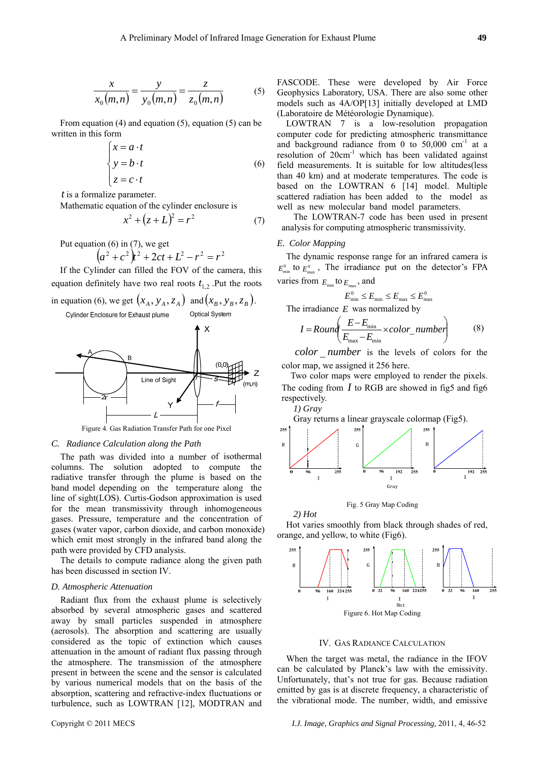$$
\frac{x}{x_0(m,n)} = \frac{y}{y_0(m,n)} = \frac{z}{z_0(m,n)}
$$
(5)

From equation (4) and equation (5), equation (5) can be written in this form

$$
\begin{cases}\nx = a \cdot t \\
y = b \cdot t \\
z = c \cdot t\n\end{cases}
$$
\n(6)

*t* is a formalize parameter.

Mathematic equation of the cylinder enclosure is

$$
x^{2} + (z + L)^{2} = r^{2}
$$
 (7)

Put equation (6) in (7), we get  
\n
$$
(a^2 + c^2) t^2 + 2ct + L^2 - r^2 = r^2
$$

If the Cylinder can filled the FOV of the camera, this equation definitely have two real roots  $t_{1,2}$ . Put the roots

in equation (6), we get  $(x_A, y_A, z_A)$  and  $(x_B, y_B, z_B)$ . Cylinder Enclosure for Exhaust plume **Optical System** 



Figure 4. Gas Radiation Transfer Path for one Pixel

# *C. Rad iance Calculation along the Path*

The path was divided into a number of isothermal co lumns. The solution adopted to compute the radiative transfer through the plume is based on the band model depending on the temperature along the line of sight(LOS). Curtis-Godson approximation is used for the mean transmissivity through inhomogeneous gases. Pressure, temperature and the concentration of gases (water vapor, carbon dioxide, and carbon monoxide) which emit most strongly in the infrared band along the path were provided by CFD analysis.

The details to compute radiance along the given path ha s been discussed in section IV.

#### *D. Atmospheric Attenuation*

Radiant flux from the exhaust plume is selectively ab sorbed by several atmospheric gases and scattered away by small particles suspended in atmosphere (aerosols). The absorption and scattering are usually considered as the topic of extinction which causes attenuation in the amount of radiant flux passing through the atmosphere. The transmission of the atmosphere present in between the scene and the sensor is calculated by various numerical models that on the basis of the absorption, scattering and refractive-index fluctuations or turbulence, such as LOWTRAN [12], MODTRAN and

FASCODE. These were developed by Air Force Geophysics Laboratory, USA. There are also some other models such as 4A/OP[13] initially developed at LMD (Laboratoire de Météorologie Dynamique).

LOWTRAN 7 is a low-resolution propagation co mputer code for predicting atmospheric transmittance and background radiance from 0 to  $50,000$  cm<sup>-1</sup> at a resolution of  $20 \text{cm}^{-1}$  which has been validated against field measurements. It is suitable for low altitudes(less than 40 km) and at moderate temperatures. The code is based on the LOWTRAN 6 [14] model. Multiple scattered radiation has been added to the model as well as new molecular band model parameters.

The LOWTRAN-7 code has been used in present ana lysis for computing atmospheric transmissivity.

# *E . Color Mapping*

*2) Hot* 

The dynamic response range for an infrared camera is  $E_{\min}^0$  to  $E_{\max}^0$ , The irradiance put on the detector's FPA varies from  $E_{\text{min}}$  to  $E_{\text{max}}$ , and

$$
E_{\min}^0 \le E_{\min} \le E_{\max} \le E_{\max}^0
$$

The irradiance  $E$  was normalized by

$$
I = Round\left(\frac{E - E_{\min}}{E_{\max} - E_{\min}} \times color\_number\right) \tag{8}
$$

*color* number is the levels of colors for the color map, we assigne d it 256 here.

Two color maps were employed to render the pixels. The coding from  $I$  to RGB are showed in fig5 and fig6 respectively. *1) Gray* 

Gray returns a linear grayscale colormap (Fig5).





Hot varies smoothly from black through shades of red, or ange, and yellow, to white (Fig6).



#### IV. GAS RADIANCE CALCULATION

When th e target was metal, the radiance in the IFOV ca n be calculated by Planck's law with the emissivity. the vibrational mode. The number, width, and emissive Unfortunately, that's not true for gas. Because radiation emitted by gas is at discrete frequency, a characteristic of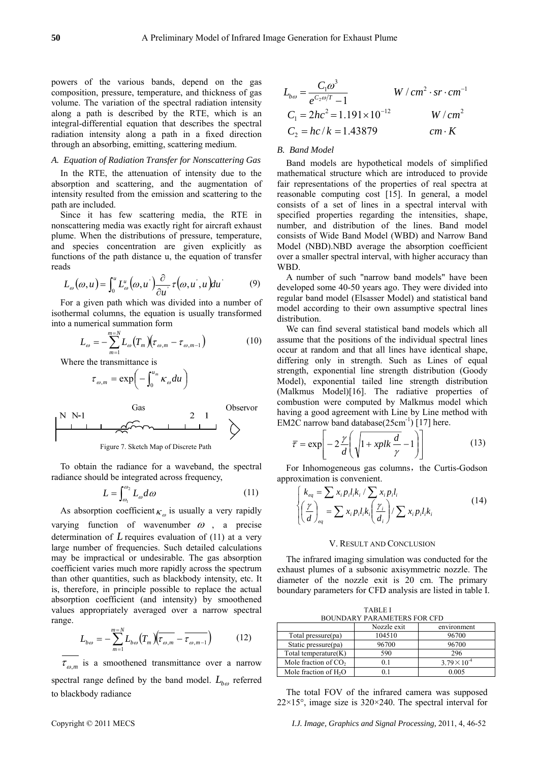powers of the various bands, depend on the gas composition, pressure, temperature, and thickness of gas volume. The variation of the spectral radiation intensity along a path is described by the RTE, which is an integral-differential equation that describes the spectral radiation intensity along a path in a fixed direction through an absorbing, emitting, scattering medium.

# *A. Equation of Radiation Transfer for Nonscattering Gas*

In the RTE, the attenuation of intensity due to the absorption and scattering, and the augmentation of intensity resulted from the emission and scattering to the path are included.

Since it has few scattering media, the RTE in nonscattering media was exactly right for aircraft exhaust plume. When the distributions of pressure, temperature, and species concentration are given explicitly as functions of the path distance u, the equation of transfer reads

$$
L_{\omega}(\omega, u) = \int_0^u L_{\omega}^u(\omega, u') \frac{\partial}{\partial u'} \tau(\omega, u', u) du'
$$
(9)

For a given path which was divided into a number of isothermal columns, the equation is usually transformed into a numerical summation form

$$
L_{\omega} = -\sum_{m=1}^{m=N} L_{\omega} (T_m) (\tau_{\omega,m} - \tau_{\omega,m-1})
$$
 (10)

Where the transmittance is

$$
\tau_{\omega,m} = \exp\biggl(-\int_0^{u_m} \kappa_\omega du\biggr)
$$

$$
\begin{array}{|c|c|c|}\n\hline\n\text{N N-1} & \text{Gas} & 2 & 1 \\
\hline\n\hline\n\end{array}
$$

Figure 7. Sketch Map of Discrete Path

To obtain the radiance for a waveband, the spectral radiance should be integrated across frequency,

$$
L = \int_{\omega_1}^{\omega_2} L_{\omega} d\omega \tag{11}
$$

As absorption coefficient  $\kappa_{\varphi}$  is usually a very rapidly

varying function of wavenumber  $\omega$ , a precise determination of  $L$  requires evaluation of (11) at a very large number of frequencies. Such detailed calculations may be impractical or undesirable. The gas absorption coefficient varies much more rapidly across the spectrum than other quantities, such as blackbody intensity, etc. It is, therefore, in principle possible to replace the actual absorption coefficient (and intensity) by smoothened values appropriately averaged over a narrow spectral range.

$$
L_{b\omega} = -\sum_{m=1}^{m=N} L_{b\omega} \left( T_m \right) \left( \overline{\tau_{\omega,m}} - \overline{\tau_{\omega,m-1}} \right) \tag{12}
$$

 $\tau_{\omega,m}$  is a smoothened transmittance over a narrow spectral range defined by the band model.  $L_{b\omega}$  referred to blackbody radiance

$$
L_{b\omega} = \frac{C_1 \omega^3}{e^{C_2 \omega/T} - 1} \qquad W / cm^2 \cdot sr \cdot cm^{-1}
$$
  
\n
$$
C_1 = 2hc^2 = 1.191 \times 10^{-12} \qquad W / cm^2
$$
  
\n
$$
C_2 = hc / k = 1.43879 \qquad cm \cdot K
$$

# *B. Band Model*

Band models are hypothetical models of simplified mathematical structure which are introduced to provide fair representations of the properties of real spectra at reasonable computing cost [15]. In general, a model consists of a set of lines in a spectral interval with specified properties regarding the intensities, shape, number, and distribution of the lines. Band model consists of Wide Band Model (WBD) and Narrow Band Model (NBD).NBD average the absorption coefficient over a smaller spectral interval, with higher accuracy than WBD.

A number of such "narrow band models" have been developed some 40-50 years ago. They were divided into regular band model (Elsasser Model) and statistical band model according to their own assumptive spectral lines distribution.

We can find several statistical band models which all assume that the positions of the individual spectral lines occur at random and that all lines have identical shape, differing only in strength. Such as Lines of equal strength, exponential line strength distribution (Goody Model), exponential tailed line strength distribution (Malkmus Model)[16]. The radiative properties of combustion were computed by Malkmus model which having a good agreement with Line by Line method with EM2C narrow band database( $25 \text{cm}^{-1}$ ) [17] here.

$$
\bar{\tau} = \exp\left[-2\frac{\gamma}{d}\left(\sqrt{1 + xplk\frac{d}{\gamma}} - 1\right)\right]
$$
 (13)

For Inhomogeneous gas columns, the Curtis-Godson approximation is convenient.

$$
\begin{cases}\nk_{eq} = \sum x_i p_i l_i k_i / \sum x_i p_i l_i \\
\left(\frac{\gamma}{d}\right)_{eq} = \sum x_i p_i l_i k_i \left(\frac{\gamma_i}{d_i}\right) / \sum x_i p_i l_i k_i\n\end{cases} (14)
$$

#### V. RESULT AND CONCLUSION

The infrared imaging simulation was conducted for the exhaust plumes of a subsonic axisymmetric nozzle. The diameter of the nozzle exit is 20 cm. The primary boundary parameters for CFD analysis are listed in table I.

TABLE I BOUNDARY PARAMETERS FOR CFD

|                                   | Nozzle exit | environment           |
|-----------------------------------|-------------|-----------------------|
| Total pressure(pa)                | 104510      | 96700                 |
| Static pressure(pa)               | 96700       | 96700                 |
| Total temperature $(K)$           | 590         | 296                   |
| Mole fraction of CO <sub>2</sub>  | 01          | $3.79 \times 10^{-4}$ |
| Mole fraction of H <sub>2</sub> O |             | 0.005                 |

The total FOV of the infrared camera was supposed  $22\times15^{\circ}$ , image size is  $320\times240$ . The spectral interval for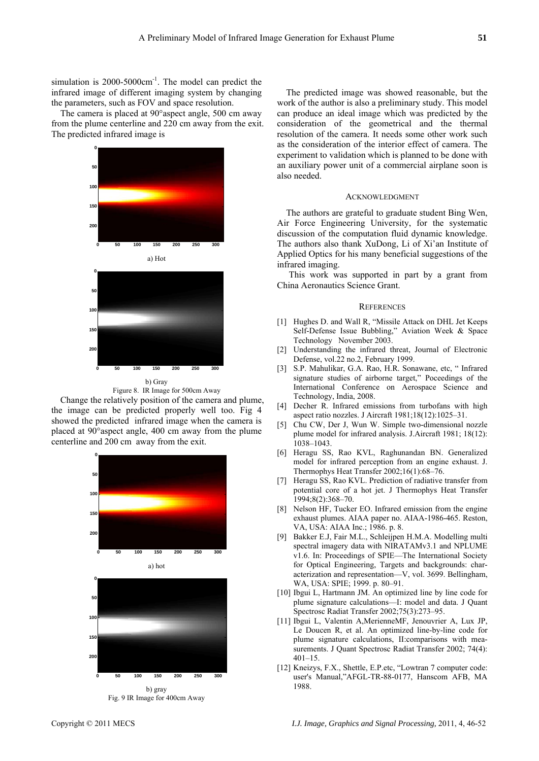simulation is  $2000-5000 \text{cm}^{-1}$ . The model can predict the infrared image of different imaging system by changing the parameters, such as FOV and space resolution.

The camera is placed at 90°aspect angle, 500 cm away from the plume centerline and 220 cm away from the exit. The predicted infrared image is



Figure 8. IR Image for 500cm Away

Change the relatively position of the camera and plume, the image can be predicted properly well too. Fig 4 showed the predicted infrared image when the camera is placed at 90°aspect angle, 400 cm away from the plume centerline and 200 cm away from the exit.







b) gray Fig. 9 IR Image for 400cm Away

The predicted image was showed reasonable, bu t the work of the author is also a preliminary study. This model can produce an ideal image which was predicted by the consideration of the geometrical and the thermal resolution of the camera. It needs some other work such as the consideration of the interior effect of camera. The an auxiliary power unit of a commercial airplane soon is experiment to validation which is planned to be done with also needed.

#### ACKNOWLEDGMENT

The authors are grateful to graduate student Bing Wen, Air Force Engineering University, for the systematic discussion of the computation fluid dynamic knowledge. The authors also thank XuDong, Li of Xi'an Institute of Applied Optics for his many beneficial suggestions of the infrared imaging.

 This work was supported in part by a grant from China Aeronautics Science Grant.

#### **REFERENCES**

- [1] Hughes D. and Wall R, "Missile Attack on DHL Jet Keeps Self-Defense Issue Bubbling," Aviation Week & Space Technology November 2003.
- [2] Understanding the infrared threat, Journal of Electronic Defense, vol.22 no.2, February 1999.
- [3] S.P. Mahulikar, G.A. Rao, H.R. Sonawane, etc, " Infrared signature studies of airborne target," Poceedings of the International Conference on Aerospace Science and Technology, India, 2008.
- [4] Decher R. Infrared emissions from turbofans with high aspect ratio nozzles. J Aircraft 1981;18(12):1025–31.
- [5] Chu CW, Der J, Wun W. Simple two-dimensional nozzle plume model for infrared analysis. J.Aircraft 1981; 18(12): 1038–1043.
- [6] Heragu SS, Rao KVL, Raghunandan BN. Generalized model for infrared perception from an engine exhaust. J. Thermophys Heat Transfer 2002;16(1):68–76.
- [7] Heragu SS, Rao KVL. Prediction of radiative transfer from potential core of a hot jet. J Thermophys Heat Transfer 1994;8(2):368–70.
- [8] Nelson HF, Tucker EO. Infrared emission from the engine exhaust plumes. AIAA paper no. AIAA-1986-465. Reston, VA, USA: AIAA Inc.; 1986. p. 8.
- [9] Bakker E.J, Fair M.L., Schleijpen H.M.A. Modelling multi spectral imagery data with NIRATAMv3.1 and NPLUME v1.6. In: Proceedings of SPIE—The International Society for Optical Engineering, Targets and backgrounds: characterization and representation—V, vol. 3699. Bellingham, WA, USA: SPIE; 1999. p. 80–91.
- plume signature calculations—I: model and data. J Quant Spectrosc Radiat Transfer 2002;75(3):273-95. [10] Ibgui L, Hartmann JM. An optimized line by line code for
- [11] Ibgui L , Valentin A,MerienneMF, Jenouvrier A , Lux JP, Le Doucen R, et al. An optimized line-by-line code for plume signature calculations, II: comparisons with measurements. J Quant Spectrosc Radiat Transfer 2002; 74(4):  $401 - 15$
- [12] Kneizys, F.X., Shettle, E.P.etc, "Lowtran 7 computer code: **0 50 100 150 200 250 300 180 180 180 180 180 180 180 180 180 180 180 180 180 180 180 180 180 180 180 180 180 180 180 180 180 180 180 180 180 180 18** 1988.